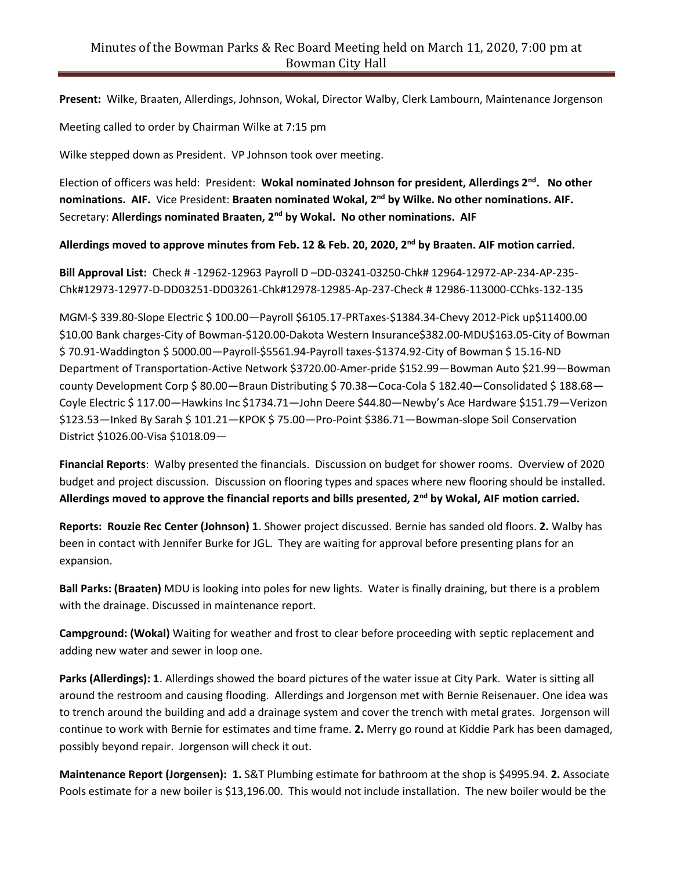**Present:** Wilke, Braaten, Allerdings, Johnson, Wokal, Director Walby, Clerk Lambourn, Maintenance Jorgenson

Meeting called to order by Chairman Wilke at 7:15 pm

Wilke stepped down as President. VP Johnson took over meeting.

Election of officers was held: President: **Wokal nominated Johnson for president, Allerdings 2nd. No other nominations. AIF.** Vice President: **Braaten nominated Wokal, 2nd by Wilke. No other nominations. AIF.** Secretary: **Allerdings nominated Braaten, 2nd by Wokal. No other nominations. AIF**

**Allerdings moved to approve minutes from Feb. 12 & Feb. 20, 2020, 2nd by Braaten. AIF motion carried.** 

**Bill Approval List:** Check # -12962-12963 Payroll D –DD-03241-03250-Chk# 12964-12972-AP-234-AP-235- Chk#12973-12977-D-DD03251-DD03261-Chk#12978-12985-Ap-237-Check # 12986-113000-CChks-132-135

MGM-\$ 339.80-Slope Electric \$ 100.00—Payroll \$6105.17-PRTaxes-\$1384.34-Chevy 2012-Pick up\$11400.00 \$10.00 Bank charges-City of Bowman-\$120.00-Dakota Western Insurance\$382.00-MDU\$163.05-City of Bowman \$ 70.91-Waddington \$ 5000.00—Payroll-\$5561.94-Payroll taxes-\$1374.92-City of Bowman \$ 15.16-ND Department of Transportation-Active Network \$3720.00-Amer-pride \$152.99—Bowman Auto \$21.99—Bowman county Development Corp \$ 80.00—Braun Distributing \$ 70.38—Coca-Cola \$ 182.40—Consolidated \$ 188.68— Coyle Electric \$ 117.00—Hawkins Inc \$1734.71—John Deere \$44.80—Newby's Ace Hardware \$151.79—Verizon \$123.53—Inked By Sarah \$ 101.21—KPOK \$ 75.00—Pro-Point \$386.71—Bowman-slope Soil Conservation District \$1026.00-Visa \$1018.09—

**Financial Reports**: Walby presented the financials. Discussion on budget for shower rooms. Overview of 2020 budget and project discussion. Discussion on flooring types and spaces where new flooring should be installed. **Allerdings moved to approve the financial reports and bills presented, 2nd by Wokal, AIF motion carried.**

**Reports: Rouzie Rec Center (Johnson) 1**. Shower project discussed. Bernie has sanded old floors. **2.** Walby has been in contact with Jennifer Burke for JGL. They are waiting for approval before presenting plans for an expansion.

**Ball Parks: (Braaten)** MDU is looking into poles for new lights. Water is finally draining, but there is a problem with the drainage. Discussed in maintenance report.

**Campground: (Wokal)** Waiting for weather and frost to clear before proceeding with septic replacement and adding new water and sewer in loop one.

**Parks (Allerdings): 1**. Allerdings showed the board pictures of the water issue at City Park. Water is sitting all around the restroom and causing flooding. Allerdings and Jorgenson met with Bernie Reisenauer. One idea was to trench around the building and add a drainage system and cover the trench with metal grates. Jorgenson will continue to work with Bernie for estimates and time frame. **2.** Merry go round at Kiddie Park has been damaged, possibly beyond repair. Jorgenson will check it out.

**Maintenance Report (Jorgensen): 1.** S&T Plumbing estimate for bathroom at the shop is \$4995.94. **2.** Associate Pools estimate for a new boiler is \$13,196.00. This would not include installation. The new boiler would be the